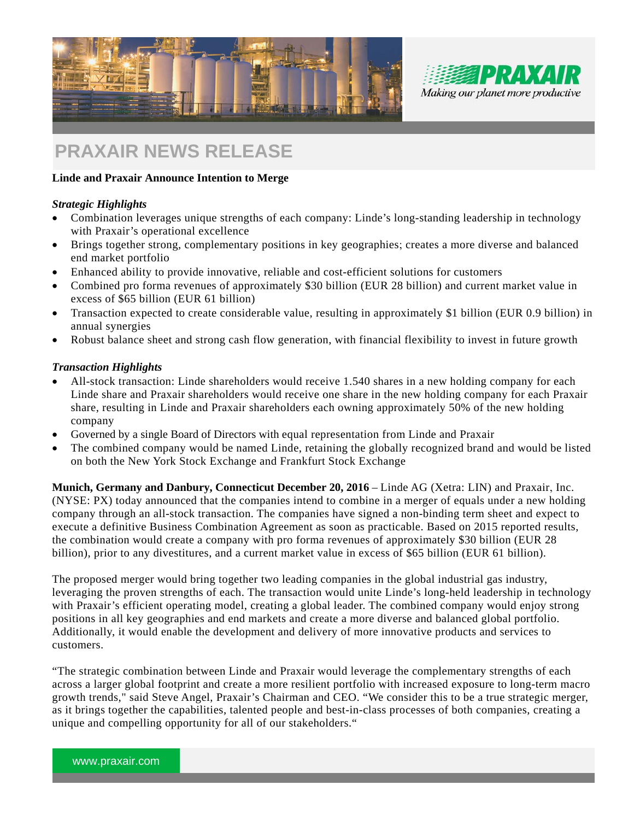



# **PRAXAIR NEWS RELEASE**

# **Linde and Praxair Announce Intention to Merge**

# *Strategic Highlights*

- Combination leverages unique strengths of each company: Linde's long-standing leadership in technology with Praxair's operational excellence
- Brings together strong, complementary positions in key geographies; creates a more diverse and balanced end market portfolio
- Enhanced ability to provide innovative, reliable and cost-efficient solutions for customers
- Combined pro forma revenues of approximately \$30 billion (EUR 28 billion) and current market value in excess of \$65 billion (EUR 61 billion)
- Transaction expected to create considerable value, resulting in approximately \$1 billion (EUR 0.9 billion) in annual synergies
- Robust balance sheet and strong cash flow generation, with financial flexibility to invest in future growth

# *Transaction Highlights*

- All-stock transaction: Linde shareholders would receive 1.540 shares in a new holding company for each Linde share and Praxair shareholders would receive one share in the new holding company for each Praxair share, resulting in Linde and Praxair shareholders each owning approximately 50% of the new holding company
- Governed by a single Board of Directors with equal representation from Linde and Praxair
- The combined company would be named Linde, retaining the globally recognized brand and would be listed on both the New York Stock Exchange and Frankfurt Stock Exchange

**Munich, Germany and Danbury, Connecticut December 20, 2016** – Linde AG (Xetra: LIN) and Praxair, Inc. (NYSE: PX) today announced that the companies intend to combine in a merger of equals under a new holding company through an all-stock transaction. The companies have signed a non-binding term sheet and expect to execute a definitive Business Combination Agreement as soon as practicable. Based on 2015 reported results, the combination would create a company with pro forma revenues of approximately \$30 billion (EUR 28 billion), prior to any divestitures, and a current market value in excess of \$65 billion (EUR 61 billion).

The proposed merger would bring together two leading companies in the global industrial gas industry, leveraging the proven strengths of each. The transaction would unite Linde's long-held leadership in technology with Praxair's efficient operating model, creating a global leader. The combined company would enjoy strong positions in all key geographies and end markets and create a more diverse and balanced global portfolio. Additionally, it would enable the development and delivery of more innovative products and services to customers.

"The strategic combination between Linde and Praxair would leverage the complementary strengths of each across a larger global footprint and create a more resilient portfolio with increased exposure to long-term macro growth trends," said Steve Angel, Praxair's Chairman and CEO. "We consider this to be a true strategic merger, as it brings together the capabilities, talented people and best-in-class processes of both companies, creating a unique and compelling opportunity for all of our stakeholders."

5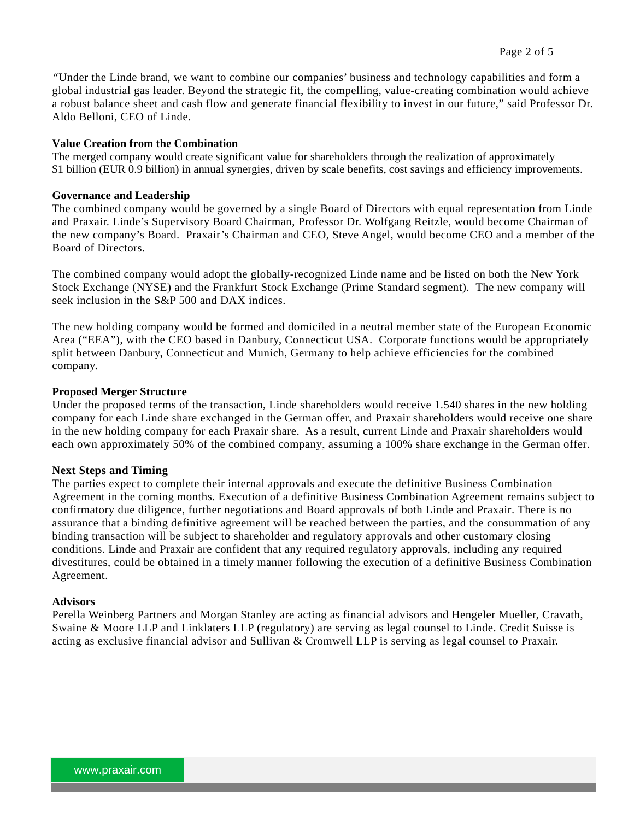*"*Under the Linde brand, we want to combine our companies' business and technology capabilities and form a global industrial gas leader. Beyond the strategic fit, the compelling, value-creating combination would achieve a robust balance sheet and cash flow and generate financial flexibility to invest in our future," said Professor Dr. Aldo Belloni, CEO of Linde.

## **Value Creation from the Combination**

The merged company would create significant value for shareholders through the realization of approximately \$1 billion (EUR 0.9 billion) in annual synergies, driven by scale benefits, cost savings and efficiency improvements.

## **Governance and Leadership**

The combined company would be governed by a single Board of Directors with equal representation from Linde and Praxair. Linde's Supervisory Board Chairman, Professor Dr. Wolfgang Reitzle, would become Chairman of the new company's Board. Praxair's Chairman and CEO, Steve Angel, would become CEO and a member of the Board of Directors.

The combined company would adopt the globally-recognized Linde name and be listed on both the New York Stock Exchange (NYSE) and the Frankfurt Stock Exchange (Prime Standard segment). The new company will seek inclusion in the S&P 500 and DAX indices.

The new holding company would be formed and domiciled in a neutral member state of the European Economic Area ("EEA"), with the CEO based in Danbury, Connecticut USA. Corporate functions would be appropriately split between Danbury, Connecticut and Munich, Germany to help achieve efficiencies for the combined company.

# **Proposed Merger Structure**

Under the proposed terms of the transaction, Linde shareholders would receive 1.540 shares in the new holding company for each Linde share exchanged in the German offer, and Praxair shareholders would receive one share in the new holding company for each Praxair share. As a result, current Linde and Praxair shareholders would each own approximately 50% of the combined company, assuming a 100% share exchange in the German offer.

# **Next Steps and Timing**

The parties expect to complete their internal approvals and execute the definitive Business Combination Agreement in the coming months. Execution of a definitive Business Combination Agreement remains subject to confirmatory due diligence, further negotiations and Board approvals of both Linde and Praxair. There is no assurance that a binding definitive agreement will be reached between the parties, and the consummation of any binding transaction will be subject to shareholder and regulatory approvals and other customary closing conditions. Linde and Praxair are confident that any required regulatory approvals, including any required divestitures, could be obtained in a timely manner following the execution of a definitive Business Combination Agreement.

#### **Advisors**

Perella Weinberg Partners and Morgan Stanley are acting as financial advisors and Hengeler Mueller, Cravath, Swaine & Moore LLP and Linklaters LLP (regulatory) are serving as legal counsel to Linde. Credit Suisse is acting as exclusive financial advisor and Sullivan & Cromwell LLP is serving as legal counsel to Praxair.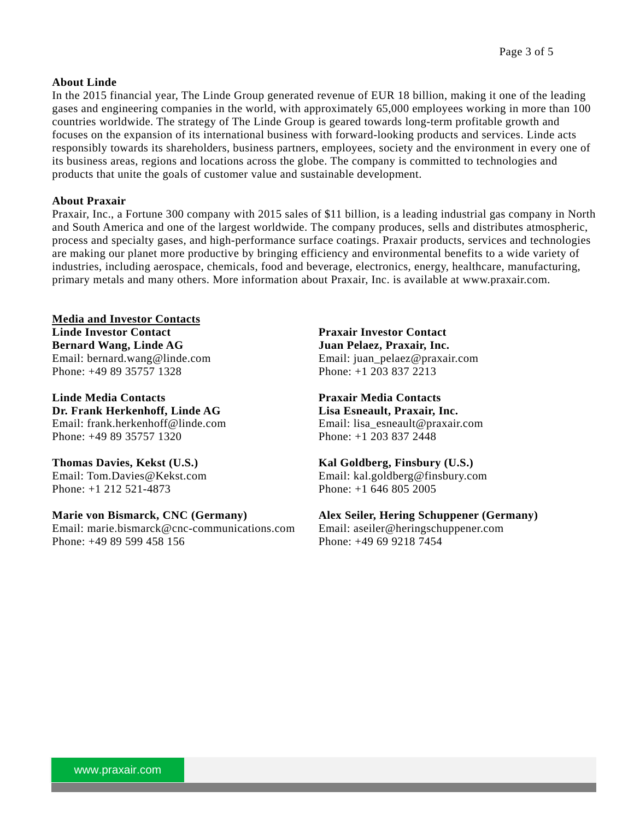# **About Linde**

In the 2015 financial year, The Linde Group generated revenue of EUR 18 billion, making it one of the leading gases and engineering companies in the world, with approximately 65,000 employees working in more than 100 countries worldwide. The strategy of The Linde Group is geared towards long-term profitable growth and focuses on the expansion of its international business with forward-looking products and services. Linde acts responsibly towards its shareholders, business partners, employees, society and the environment in every one of its business areas, regions and locations across the globe. The company is committed to technologies and products that unite the goals of customer value and sustainable development.

## **About Praxair**

Praxair, Inc., a Fortune 300 company with 2015 sales of \$11 billion, is a leading industrial gas company in North and South America and one of the largest worldwide. The company produces, sells and distributes atmospheric, process and specialty gases, and high-performance surface coatings. Praxair products, services and technologies are making our planet more productive by bringing efficiency and environmental benefits to a wide variety of industries, including aerospace, chemicals, food and beverage, electronics, energy, healthcare, manufacturing, primary metals and many others. More information about Praxair, Inc. is available at www.praxair.com.

**Media and Investor Contacts Linde Investor Contact Bernard Wang, Linde AG**  Email: bernard.wang@linde.com Phone: +49 89 35757 1328

**Linde Media Contacts Dr. Frank Herkenhoff, Linde AG**  Email: frank.herkenhoff@linde.com Phone: +49 89 35757 1320

**Thomas Davies, Kekst (U.S.)**  Email: Tom.Davies@Kekst.com Phone: +1 212 521-4873

**Marie von Bismarck, CNC (Germany)** 

Email: marie.bismarck@cnc-communications.com Phone: +49 89 599 458 156

**Praxair Investor Contact Juan Pelaez, Praxair, Inc.**  Email: juan\_pelaez@praxair.com Phone: +1 203 837 2213

**Praxair Media Contacts Lisa Esneault, Praxair, Inc.**  Email: lisa\_esneault@praxair.com Phone: +1 203 837 2448

**Kal Goldberg, Finsbury (U.S.)**  Email: kal.goldberg@finsbury.com Phone: +1 646 805 2005

**Alex Seiler, Hering Schuppener (Germany)**  Email: aseiler@heringschuppener.com Phone: +49 69 9218 7454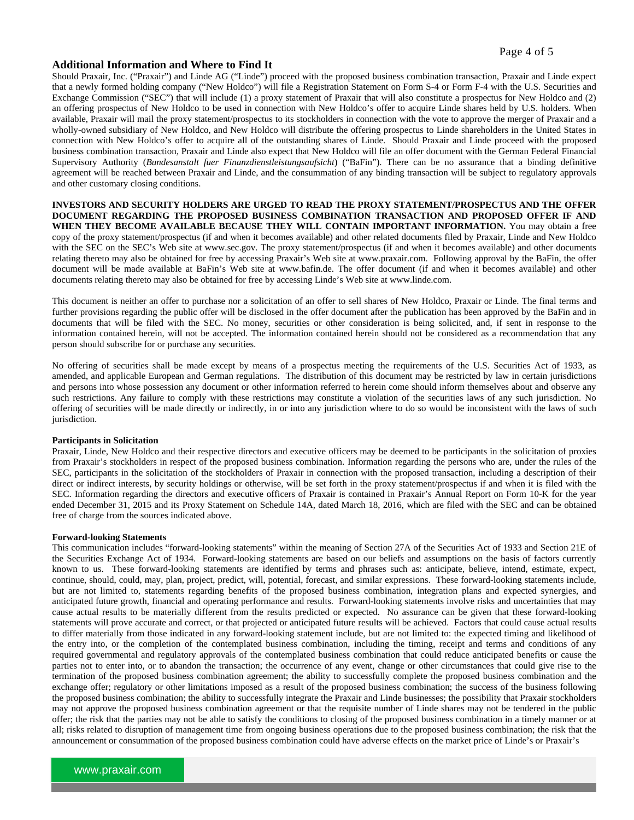#### Page 4 of 5

#### **Additional Information and Where to Find It**

Should Praxair, Inc. ("Praxair") and Linde AG ("Linde") proceed with the proposed business combination transaction, Praxair and Linde expect that a newly formed holding company ("New Holdco") will file a Registration Statement on Form S-4 or Form F-4 with the U.S. Securities and Exchange Commission ("SEC") that will include (1) a proxy statement of Praxair that will also constitute a prospectus for New Holdco and (2) an offering prospectus of New Holdco to be used in connection with New Holdco's offer to acquire Linde shares held by U.S. holders. When available, Praxair will mail the proxy statement/prospectus to its stockholders in connection with the vote to approve the merger of Praxair and a wholly-owned subsidiary of New Holdco, and New Holdco will distribute the offering prospectus to Linde shareholders in the United States in connection with New Holdco's offer to acquire all of the outstanding shares of Linde. Should Praxair and Linde proceed with the proposed business combination transaction, Praxair and Linde also expect that New Holdco will file an offer document with the German Federal Financial Supervisory Authority (*Bundesanstalt fuer Finanzdienstleistungsaufsicht*) ("BaFin"). There can be no assurance that a binding definitive agreement will be reached between Praxair and Linde, and the consummation of any binding transaction will be subject to regulatory approvals and other customary closing conditions.

**INVESTORS AND SECURITY HOLDERS ARE URGED TO READ THE PROXY STATEMENT/PROSPECTUS AND THE OFFER DOCUMENT REGARDING THE PROPOSED BUSINESS COMBINATION TRANSACTION AND PROPOSED OFFER IF AND**  WHEN THEY BECOME AVAILABLE BECAUSE THEY WILL CONTAIN IMPORTANT INFORMATION. You may obtain a free copy of the proxy statement/prospectus (if and when it becomes available) and other related documents filed by Praxair, Linde and New Holdco with the SEC on the SEC's Web site at www.sec.gov. The proxy statement/prospectus (if and when it becomes available) and other documents relating thereto may also be obtained for free by accessing Praxair's Web site at www.praxair.com. Following approval by the BaFin, the offer document will be made available at BaFin's Web site at www.bafin.de. The offer document (if and when it becomes available) and other documents relating thereto may also be obtained for free by accessing Linde's Web site at www.linde.com.

This document is neither an offer to purchase nor a solicitation of an offer to sell shares of New Holdco, Praxair or Linde. The final terms and further provisions regarding the public offer will be disclosed in the offer document after the publication has been approved by the BaFin and in documents that will be filed with the SEC. No money, securities or other consideration is being solicited, and, if sent in response to the information contained herein, will not be accepted. The information contained herein should not be considered as a recommendation that any person should subscribe for or purchase any securities.

No offering of securities shall be made except by means of a prospectus meeting the requirements of the U.S. Securities Act of 1933, as amended, and applicable European and German regulations. The distribution of this document may be restricted by law in certain jurisdictions and persons into whose possession any document or other information referred to herein come should inform themselves about and observe any such restrictions. Any failure to comply with these restrictions may constitute a violation of the securities laws of any such jurisdiction. No offering of securities will be made directly or indirectly, in or into any jurisdiction where to do so would be inconsistent with the laws of such jurisdiction.

#### **Participants in Solicitation**

Praxair, Linde, New Holdco and their respective directors and executive officers may be deemed to be participants in the solicitation of proxies from Praxair's stockholders in respect of the proposed business combination. Information regarding the persons who are, under the rules of the SEC, participants in the solicitation of the stockholders of Praxair in connection with the proposed transaction, including a description of their direct or indirect interests, by security holdings or otherwise, will be set forth in the proxy statement/prospectus if and when it is filed with the SEC. Information regarding the directors and executive officers of Praxair is contained in Praxair's Annual Report on Form 10-K for the year ended December 31, 2015 and its Proxy Statement on Schedule 14A, dated March 18, 2016, which are filed with the SEC and can be obtained free of charge from the sources indicated above.

#### **Forward-looking Statements**

This communication includes "forward-looking statements" within the meaning of Section 27A of the Securities Act of 1933 and Section 21E of the Securities Exchange Act of 1934. Forward-looking statements are based on our beliefs and assumptions on the basis of factors currently known to us. These forward-looking statements are identified by terms and phrases such as: anticipate, believe, intend, estimate, expect, continue, should, could, may, plan, project, predict, will, potential, forecast, and similar expressions. These forward-looking statements include, but are not limited to, statements regarding benefits of the proposed business combination, integration plans and expected synergies, and anticipated future growth, financial and operating performance and results. Forward-looking statements involve risks and uncertainties that may cause actual results to be materially different from the results predicted or expected. No assurance can be given that these forward-looking statements will prove accurate and correct, or that projected or anticipated future results will be achieved. Factors that could cause actual results to differ materially from those indicated in any forward-looking statement include, but are not limited to: the expected timing and likelihood of the entry into, or the completion of the contemplated business combination, including the timing, receipt and terms and conditions of any required governmental and regulatory approvals of the contemplated business combination that could reduce anticipated benefits or cause the parties not to enter into, or to abandon the transaction; the occurrence of any event, change or other circumstances that could give rise to the termination of the proposed business combination agreement; the ability to successfully complete the proposed business combination and the exchange offer; regulatory or other limitations imposed as a result of the proposed business combination; the success of the business following the proposed business combination; the ability to successfully integrate the Praxair and Linde businesses; the possibility that Praxair stockholders may not approve the proposed business combination agreement or that the requisite number of Linde shares may not be tendered in the public offer; the risk that the parties may not be able to satisfy the conditions to closing of the proposed business combination in a timely manner or at all; risks related to disruption of management time from ongoing business operations due to the proposed business combination; the risk that the announcement or consummation of the proposed business combination could have adverse effects on the market price of Linde's or Praxair's